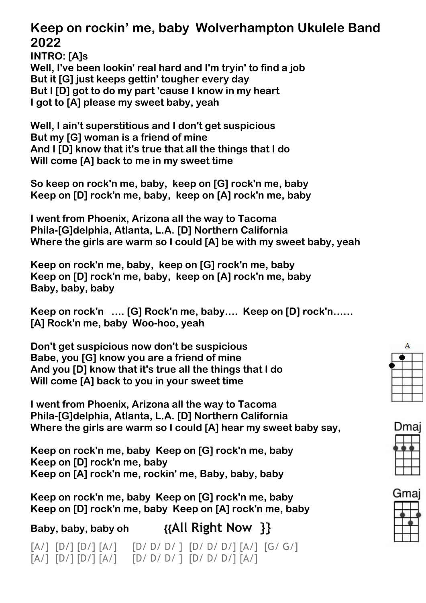## **Keep on rockin' me, baby Wolverhampton Ukulele Band 2022**

**INTRO: [A]s Well, I've been lookin' real hard and I'm tryin' to find a job But it [G] just keeps gettin' tougher every day But I [D] got to do my part 'cause I know in my heart I got to [A] please my sweet baby, yeah**

**Well, I ain't superstitious and I don't get suspicious But my [G] woman is a friend of mine And I [D] know that it's true that all the things that I do Will come [A] back to me in my sweet time**

**So keep on rock'n me, baby, keep on [G] rock'n me, baby Keep on [D] rock'n me, baby, keep on [A] rock'n me, baby**

**I went from Phoenix, Arizona all the way to Tacoma Phila-[G]delphia, Atlanta, L.A. [D] Northern California Where the girls are warm so I could [A] be with my sweet baby, yeah**

**Keep on rock'n me, baby, keep on [G] rock'n me, baby Keep on [D] rock'n me, baby, keep on [A] rock'n me, baby Baby, baby, baby**

**Keep on rock'n …. [G] Rock'n me, baby…. Keep on [D] rock'n…… [A] Rock'n me, baby Woo-hoo, yeah**

**Don't get suspicious now don't be suspicious Babe, you [G] know you are a friend of mine And you [D] know that it's true all the things that I do Will come [A] back to you in your sweet time**

**I went from Phoenix, Arizona all the way to Tacoma Phila-[G]delphia, Atlanta, L.A. [D] Northern California Where the girls are warm so I could [A] hear my sweet baby say,** 

**Keep on rock'n me, baby Keep on [G] rock'n me, baby Keep on [D] rock'n me, baby Keep on [A] rock'n me, rockin' me, Baby, baby, baby**

**Keep on rock'n me, baby Keep on [G] rock'n me, baby Keep on [D] rock'n me, baby Keep on [A] rock'n me, baby**

 $[A/]$   $[D/]$   $[D/]$   $[A/]$   $[D/$   $D/$   $D/$   $]$   $[D/$   $D/$   $D/$   $]$   $[A/]$   $[G/$   $G/$  $[A/]$   $[D/]$   $[D/]$   $[A/]$   $[D/$   $D/$   $D/$   $]$   $[D/$   $D/$   $D/$   $]$   $[A/]$ 

**Baby, baby, baby oh {{All Right Now }}**